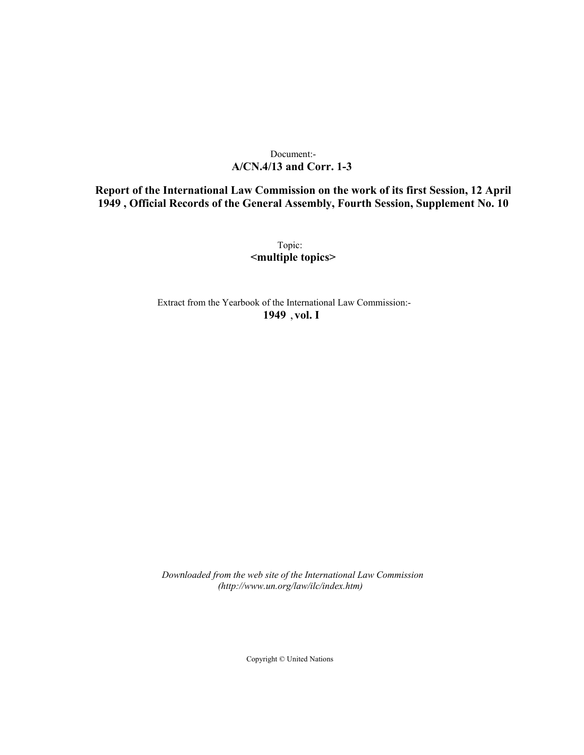## Document:- **A/CN.4/13 and Corr. 1-3**

## **Report of the International Law Commission on the work of its first Session, 12 April 1949 , Official Records of the General Assembly, Fourth Session, Supplement No. 10**

Topic: **<multiple topics>**

Extract from the Yearbook of the International Law Commission:- **1949** ,**vol. I**

*Downloaded from the web site of the International Law Commission (http://www.un.org/law/ilc/index.htm)*

Copyright © United Nations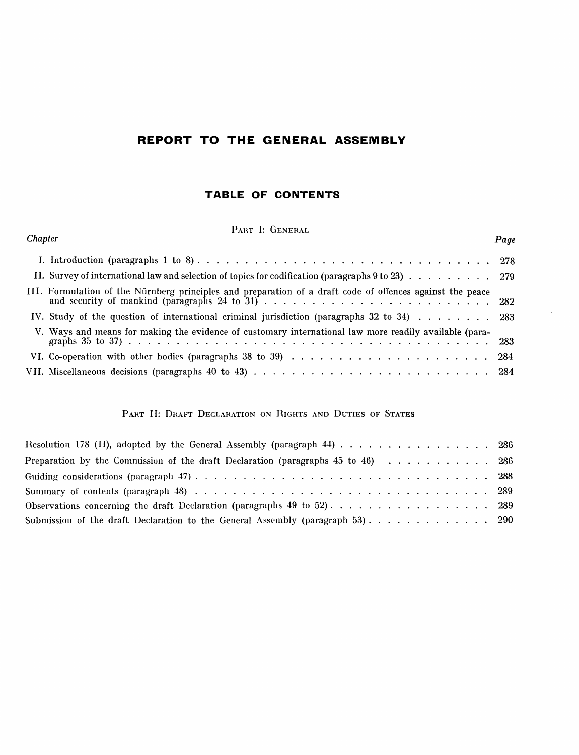## **REPORT TO THE GENERAL ASSEMBLY**

## **TABLE OF CONTENTS**

PART I: GENERAL

| Chapter                                                                                                   | Page |
|-----------------------------------------------------------------------------------------------------------|------|
|                                                                                                           |      |
| II. Survey of international law and selection of topics for codification (paragraphs $9$ to $23)$ 279     |      |
| III. Formulation of the Nürnberg principles and preparation of a draft code of offences against the peace |      |
| IV. Study of the question of international criminal jurisdiction (paragraphs 32 to 34) 283                |      |
| V. Ways and means for making the evidence of customary international law more readily available (para-    |      |
|                                                                                                           |      |
|                                                                                                           |      |
|                                                                                                           |      |

## PART II: DRAFT DECLARATION ON RIGHTS AND DUTIES OF STATES

| Resolution 178 (II), adopted by the General Assembly (paragraph 44) 286               |  |
|---------------------------------------------------------------------------------------|--|
| Preparation by the Commission of the draft Declaration (paragraphs $45$ to $46$ ) 286 |  |
|                                                                                       |  |
|                                                                                       |  |
|                                                                                       |  |
| Submission of the draft Declaration to the General Assembly (paragraph 53) 290        |  |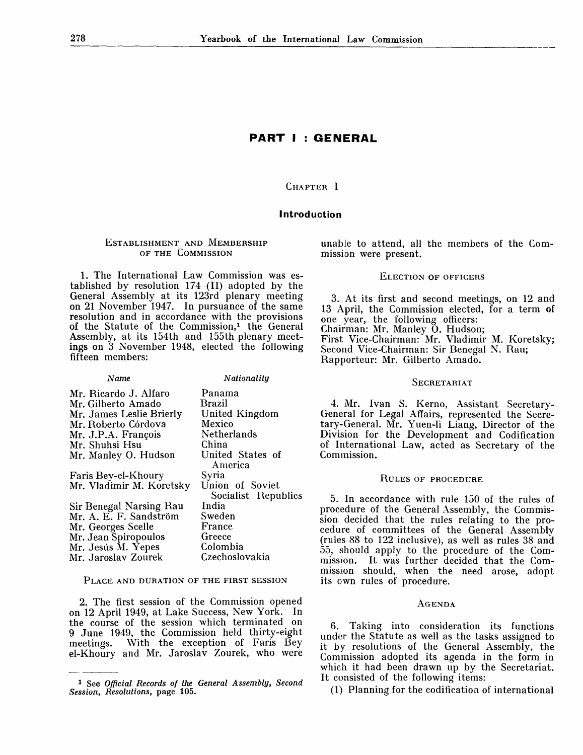## **PART I : GENERAL**

CHAPTER I

#### **Introduction**

## ESTABLISHMENT AND MEMBERSHIP OF THE COMMISSION

1. The International Law Commission was established by resolution 174 (II) adopted by the General Assembly at its 123rd plenary meeting on 21 November 1947. In pursuance of the same resolution and in accordance with the provisions of the Statute of the Commission,<sup>1</sup> the General Assembly, at its 154th and 155th plenary meetings on 3 November 1948, elected the following fifteen members:

| Name                     | Nationality         |
|--------------------------|---------------------|
| Mr. Ricardo J. Alfaro    | Panama              |
| Mr. Gilberto Amado       | Brazil              |
| Mr. James Leslie Brierly | United Kingdom      |
| Mr. Roberto Córdova      | Mexico              |
| Mr. J.P.A. François      | Netherlands         |
| Mr. Shuhsi Hsu           | China               |
| Mr. Manley O. Hudson     | United States of    |
|                          | America             |
| Faris Bey-el-Khoury      | Syria               |
| Mr. Vladimir M. Koretsky | Union of Soviet     |
|                          | Socialist Republics |
| Sir Benegal Narsing Rau  | India               |
| Mr. A. E. F. Sandström   | Sweden              |
| Mr. Georges Scelle       | France              |
| Mr. Jean Spiropoulos     | Greece              |
| Mr. Jesús M. Yepes       | Colombia            |
| Mr. Jaroslav Zourek      | Czechoslovakia      |
|                          |                     |

PLACE AND DURATION OF THE FIRST SESSION

2. The first session of the Commission opened on 12 April 1949, at Lake Success, New York. In the course of the session which terminated on 9 June 1949, the Commission held thirty-eight meetings. With the exception of Faris Bey el-Khoury and Mr. Jaroslav Zourek, who were unable to attend, all the members of the Commission were present.

#### ELECTION OF OFFICERS

3. At its first and second meetings, on 12 and 13 April, the Commission elected, for a term of one year, the following officers: Chairman: Mr. Manley O. Hudson; First Vice-Chairman: Mr. Vladimir M. Koretsky; Second Vice-Chairman: Sir Benegal N. Rau; Rapporteur: Mr. Gilberto Amado.

#### **SECRETARIAT**

4. Mr. Ivan S. Kerno, Assistant Secretary-General for Legal Affairs, represented the Secretary-General. Mr. Yuen-li Liang, Director of the Division for the Development and Codification of International Law, acted as Secretary of the Commission.

#### RULES OF PROCEDURE

5. In accordance with rule 150 of the rules of procedure of the General Assembly, the Commission decided that the rules relating to the procedure of committees of the General Assembly (rules 88 to 122 inclusive), as well as rules 38 and 55, should apply to the procedure of the Commission. It was further decided that the Commission should, when the need arose, adopt its own rules of procedure.

#### AGENDA

6. Taking into consideration its functions under the Statute as well as the tasks assigned to it by resolutions of the General Assembly, the Commission adopted its agenda in the form in which it had been drawn up by the Secretariat. It consisted of the following items:

(1) Planning for the codification of international

<sup>1</sup> See *Official Records of the General Assembly, Second Session, Resolutions,* page 105.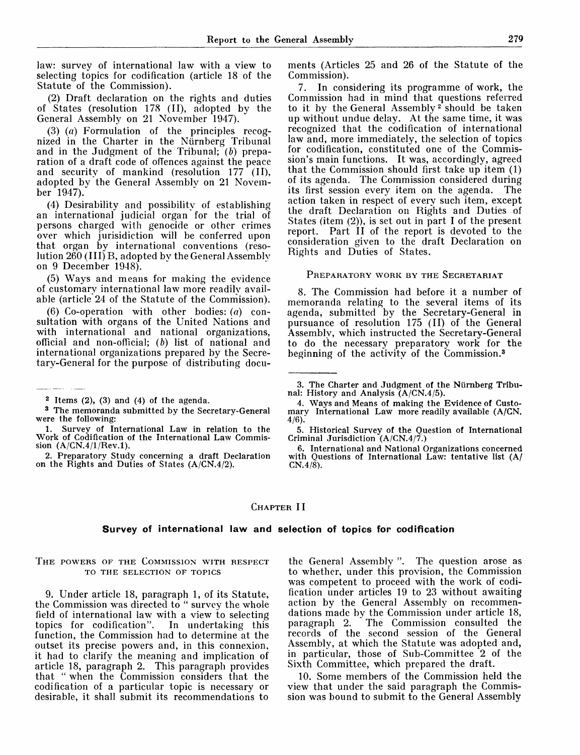law: survey of international law with a view to selecting topics for codification (article 18 of the Statute of the Commission).

(2) Draft declaration on the rights and duties of States (resolution 178 (II), adopted by the General Assembly on 21 November 1947).

(3) *(a)* Formulation of the principles recognized in the Charter in the Nürnberg Tribunal and in the Judgment of the Tribunal; *(b)* preparation of a draft code of offences against the peace and security of mankind (resolution 177 (II), adopted bv the General Assembly on 21 November 1947).

(4) Desirability and possibility of establishing an international judicial organ for the trial of persons charged with genocide or other crimes over which jurisidiction will be conferred upon that organ by international conventions (resolution 260 (111) B, adopted by the General Assembly on 9 December 1948).

(5) Ways and means for making the evidence of customary international law more readily available (article 24 of the Statute of the Commission).

(6) Co-operation with other bodies: *(a)* consultation with organs of the United Nations and with international and national organizations, official and non-official; *(b)* list of national and international organizations prepared by the Secretary-General for the purpose of distributing docu-

ments (Articles 25 and 26 of the Statute of the Commission).

7. In considering its programme of work, the Commission had in mind that questions referred to it by the General Assembly<sup>2</sup> should be taken up without undue delay. At the same time, it was recognized that the codification of international law and, more immediately, the selection of topics for codification, constituted one of the Commission's main functions. It was, accordingly, agreed that the Commission should first take up item (1) of its agenda. The Commission considered during its first session every item on the agenda. The action taken in respect of every such item, except the draft Declaration on Rights and Duties of States (item (2)), is set out in part I of the present report. Part II of the report is devoted to the consideration given to the draft Declaration on Rights and Duties of States.

#### PREPARATORY WORK BY THE SECRETARIAT

8. The Commission had before it a number of memoranda relating to the several items of its agenda, submitted by the Secretary-General in pursuance of resolution 175 (II) of the General Assembly, which instructed the Secretary-General to do the necessary preparatory work for the beginning of the activity of the Commission.<sup>3</sup>

- 3. The Charter and Judgment of the Nürnberg Tribunal: History and Analysis (A/CN.4/5).
- 4. Ways and Means of making the Evidence of Customary International Law more readily available (A/CN. **4/6):**
- 5. Historical Survey of the Question of International Criminal Jurisdiction (A/CN.4/7.)

## CHAPTER **II**

#### **Survey of international law and selection of topics for codification**

## THE POWERS OF THE COMMISSION WITH RESPECT TO THE SELECTION OF TOPICS

9. Under article 18, paragraph 1, of its Statute, the Commission was directed to " survey the whole field of international law with a view to selecting topics for codification". In undertaking this function, the Commission had to determine at the outset its precise powers and, in this connexion, it had to clarify the meaning and implication of article 18, paragraph 2. This paragraph provides that " when the Commission considers that the codification of a particular topic is necessary or desirable, it shall submit its recommendations to

the Genera] Assembly ". The question arose as to whether, under this provision, the Commission was competent to proceed with the work of codification under articles 19 to 23 without awaiting action by the General Assembly on recommendations made by the Commission under article 18, paragraph 2. The Commission consulted the records of the second session of the General Assembly, at which the Statute was adopted and, in particular, those of Sub-Committee 2 of the Sixth Committee, which prepared the draft.

10. Some members of the Commission held the view that under the said paragraph the Commission was bound to submit to the General Assembly

 $2$  Items  $(2)$ ,  $(3)$  and  $(4)$  of the agenda.

<sup>3</sup> The memoranda submitted by the Secretary-General were the following:

<sup>1.</sup> Survey of International Law in relation to the Work of Codification of the International Law Commission  $(A/CN.4/1/Rev.1)$ .

<sup>2.</sup> Preparatory Study concerning a draft Declaration on the Rights and Duties of States (A/CN.4/2).

<sup>6.</sup> International and National Organizations concerned with Questions of International Law: tentative list (A/ CN.4/8).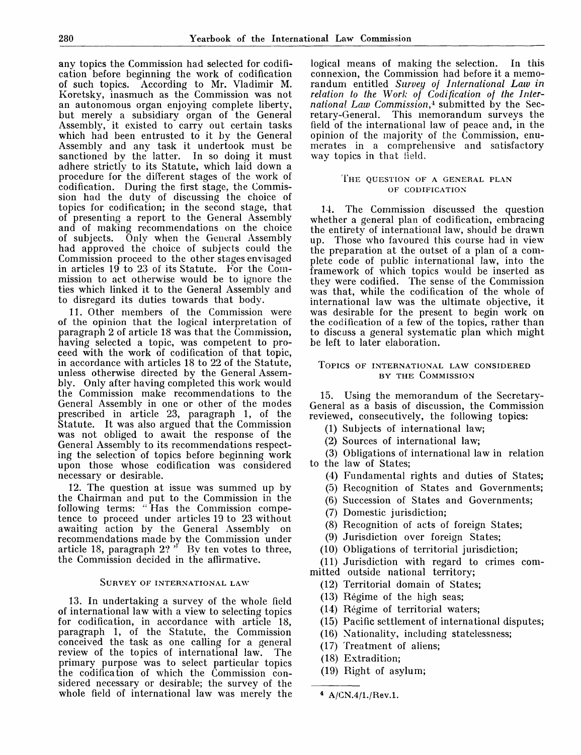any topics the Commission had selected for codification before beginning the work of codification of such topics. According to Mr. Vladimir M. Koretsky, inasmuch as the Commission was not an autonomous organ enjoying complete liberty, but merely a subsidiary organ of the General Assembly, it existed to carry out certain tasks which had been entrusted to it by the General Assembly and any task it undertook must be sanctioned by the latter. In so doing it must adhere strictly to its Statute, which laid down a procedure for the different stages of the work of codification. During the first stage, the Commission had the duty of discussing the choice of topics for codification; in the second stage, that of presenting a report to the General Assembly and of making recommendations on the choice of subjects. Only when the General Assembly had approved the choice of subjects could the Commission proceed to the other stages envisaged in articles 19 to 23 of its Statute. For the Commission to act otherwise would be to ignore the ties which linked it to the General Assembly and to disregard its duties towards that body.

11. Other members of the Commission were of the opinion that the logical interpretation of paragraph 2 of article 18 was that the Commission, having selected a topic, was competent to proceed with the work of codification of that topic, in accordance with articles 18 to 22 of the Statute, unless otherwise directed by the General Assembly. Only after having completed this work would the Commission make recommendations to the General Assembly in one or other of the modes prescribed in article 23, paragraph 1, of the Statute. It was also argued that the Commission was not obliged to await the response of the General Assembly to its recommendations respecting the selection of topics before beginning work upon those whose codification was considered necessary or desirable.

12. The question at issue was summed up by the Chairman and put to the Commission in the following terms: " Has the Commission competence to proceed under articles 19 to 23 without awaiting action by the General Assembly on recommendations made by the Commission under article 18, paragraph  $2?$  " By ten votes to three, the Commission decided in the affirmative.

## SURVEY OF INTERNATIONAL LAW

13. In undertaking a survey of the whole field of international law with a view to selecting topics for codification, in accordance with article 18, paragraph 1, of the Statute, the Commission conceived the task as one calling for a general review of the topics of international law. The primary purpose was to select particular topics the codification of which the Commission considered necessary or desirable; the survey of the whole field of international law was merely the logical means of making the selection. In this connexion, the Commission had before it a memorandum entitled *Survey of International Law in relation to the Work of Codification of the International Law Commission,\** submitted by the Secretary-General. This memorandum surveys the field of the international law of peace and, in the opinion of the majority of the Commission, enumerates in a comprehensive and satisfactory way topics in that field.

#### THE QUESTION OF A GENERAL PLAN OF CODIFICATION

14. The Commission discussed the question whether a general plan of codification, embracing the entirety of international law, should be drawn up. Those who favoured this course had in view the preparation at the outset of a plan of a complete code of public international law, into the framework of which topics would be inserted as they were codified. The sense of the Commission was that, while the codification of the whole of international law was the ultimate objective, it was desirable for the present to begin work on the codification of a few of the topics, rather than to discuss a general systematic plan which might be left to later elaboration.

#### TOPICS OF INTERNATIONAL LAW CONSIDERED BY THE COMMISSION

15. Using the memorandum of the Secretary-General as a basis of discussion, the Commission reviewed, consecutively, the following topics:

- (1) Subjects of international law;
- (2) Sources of international law;

(3) Obligations of international law in relation to the law of States;

- (4) Fundamental rights and duties of States;
- (5) Recognition of States and Governments;
- (6) Succession of States and Governments;
- (7) Domestic jurisdiction;
- (8) Recognition of acts of foreign States;
- (9) Jurisdiction over foreign States;
- (10) Obligations of territorial jurisdiction;
- (11) Jurisdiction with regard to crimes com-
- mitted outside national territory;
	- (12) Territorial domain of States;
	- (13) Regime of the high seas;
	- (14) Regime of territorial waters;
	- (15) Pacific settlement of international disputes;
	- (16) Nationality, including statelessness;
	- (17) Treatment of aliens;
	- (18) Extradition;
	- (19) Right of asylum;

<sup>4</sup> A/GN.4/1./Rev.l.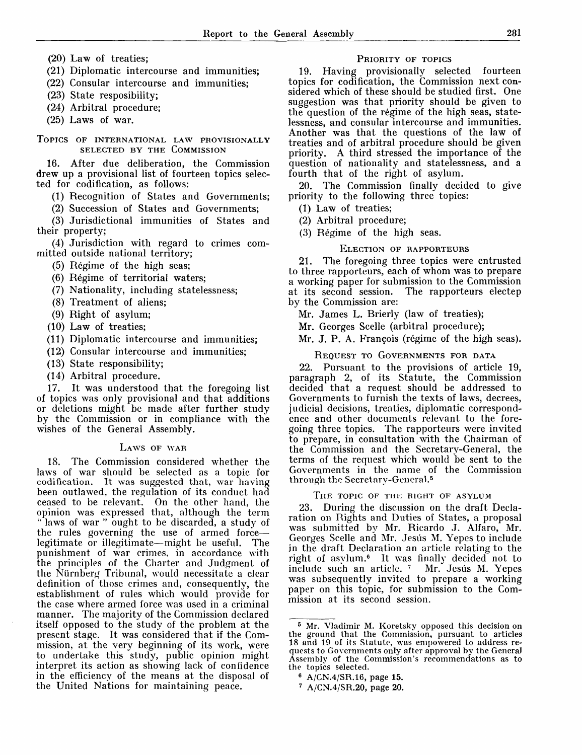- (20) Law of treaties;
- (21) Diplomatic intercourse and immunities;
- (22) Consular intercourse and immunities;
- (23) State resposibility;
- (24) Arbitral procedure;
- (25) Laws of war.
- TOPICS OF INTERNATIONAL LAW PROVISIONALLY SELECTED BY THE COMMISSION

16. After due deliberation, the Commission drew up a provisional list of fourteen topics selected for codification, as follows:

- (1) Recognition of States and Governments;
- (2) Succession of States and Governments;

(3) Jurisdictional immunities of States and their property;

(4) Jurisdiction with regard to crimes committed outside national territory;

- (5) Regime of the high seas;
- (6) Regime of territorial waters;
- (7) Nationality, including statelessness;
- (8) Treatment of aliens;
- (9) Right of asylum;
- (10) Law of treaties;
- (11) Diplomatic intercourse and immunities;
- (12) Consular intercourse and immunities;
- (13) State responsibility;
- (14) Arbitral procedure.

17. It was understood that the foregoing list of topics was only provisional and that additions or deletions might be made after further study by the Commission or in compliance with the wishes of the General Assembly.

## LAWS OF WAR

18. The Commission considered whether the laws of war should be selected as a topic for codification. It was suggested that, war having been outlawed, the regulation of its conduct had ceased to be relevant. On the other hand, the opinion was expressed that, although the term "laws of war" ought to be discarded, a study of the rules governing the use of armed force legitimate or illegitimate—might be useful. The punishment of war crimes, in accordance with the principles of the Charter and Judgment of the Niirnberg Tribunal, would necessitate a clear definition of those crimes and, consequently, the establishment of rules which would provide for the case where armed force was used in a criminal manner. The majority of the Commission declared itself opposed to the study of the problem at the present stage. It was considered that if the Commission, at the very beginning of its work, were to undertake this study, public opinion might interpret its action as showing lack of confidence in the efficiency of the means at the disposal of the United Nations for maintaining peace.

#### PRIORITY OF TOPICS

19. Having provisionally selected fourteen topics for codification, the Commission next considered which of these should be studied first. One suggestion was that priority should be given to the question of the regime of the high seas, statelessness, and consular intercourse and immunities. Another was that the questions of the law of treaties and of arbitral procedure should be given priority. A third stressed the importance of the question of nationality and statelessness, and a fourth that of the right of asylum.

20. The Commission finally decided to give priority to the following three topics:

- (1) Law of treaties;
- (2) Arbitral procedure;
- (3) Regime of the high seas.

#### ELECTION OF RAPPORTEURS

21. The foregoing three topics were entrusted to three rapporteurs, each of whom was to prepare a working paper for submission to the Commission at its second session. The rapporteurs electep by the Commission are:

- Mr. James L. Brierly (law of treaties);
- Mr. Georges Scelle (arbitral procedure);
- Mr. J. P. A. François (régime of the high seas).

#### REQUEST TO GOVERNMENTS FOR DATA

22. Pursuant to the provisions of article 19, paragraph 2, of its Statute, the Commission decided that a request should be addressed to Governments to furnish the texts of laws, decrees, judicial decisions, treaties, diplomatic correspondence and other documents relevant to the foregoing three topics. The rapporteurs were invited to prepare, in consultation with the Chairman of the Commission and the Secretary-General, the terms of the request which would be sent to the Governments in the name of the Commission through the Secretary-General.<sup>5</sup>

#### THE TOPIC OF THE RIGHT OF ASYLUM

23. During the discussion on the draft Declaration on Rights and Duties of States, a proposal was submitted by Mr. Ricardo J. Alfaro, Mr. Georges Scelle and Mr. Jesús M. Yepes to include in the draft Declaration an article relating to the right of asylum.<sup>6</sup> It was finally decided not to include such an article. <sup>7</sup> Mr. Jesus M. Yepes was subsequently invited to prepare a working paper on this topic, for submission to the Commission at its second session.

6 A/CN.4/SR.16, page 15.

<sup>6</sup> Mr. Vladimir M. Koretsky opposed this decision on the ground that the Commission, pursuant to articles 18 and 19 of its Statute, was empowered to address requests to Governments only after approval by the Genera) Assembly of the Commission's recommendations as to the topics selected.

<sup>7</sup> A/CN.4/SR.20, page 20.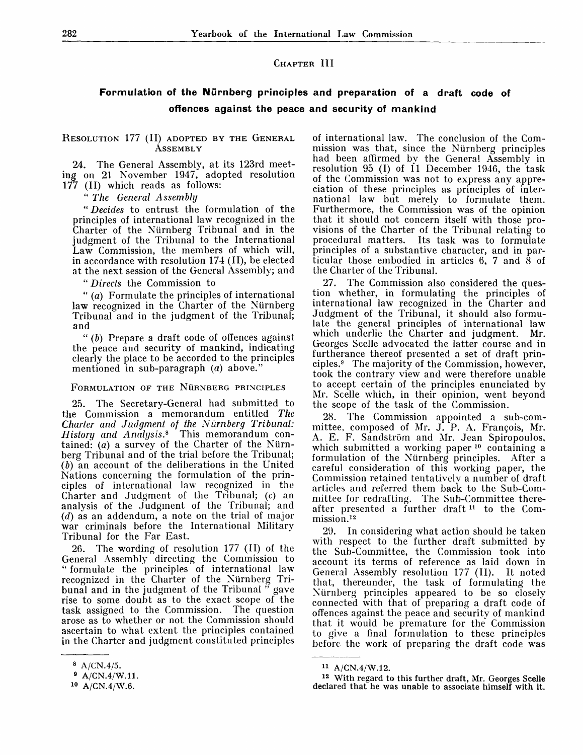## CHAPTER III

## **Formulation of the Niirnberg principles and preparation of a draft code of offences against the peace and security of mankind**

## RESOLUTION 177 (II) ADOPTED BY THE GENERAL **ASSEMBLY**

24. The General Assembly, at its 123rd meeting on 21 November 1947, adopted resolution 177 (II) which reads as follows:

" *The General Assembly*

" *Decides* to entrust the formulation of the principles of international law recognized in the Charter of the Niirnberg Tribunal and in the judgment of the Tribunal to the International Law Commission, the members of which will, in accordance with resolution 174 (II), be elected at the next session of the General Assembly; and

" *Directs* the Commission to

" (a) Formulate the principles of international law recognized in the Charter of the Nürnberg Tribunal and in the judgment of the Tribunal; and

" *(b)* Prepare a draft code of offences against the peace and security of mankind, indicating clearly the place to be accorded to the principles mentioned in sub-paragraph  $(a)$  above."

#### FORMULATION OF THE NURNBERG PRINCIPLES

25. The Secretary-General had submitted to the Commission a memorandum entitled *The Charter and Judgment of the Nurnberg Tribunal-History and Analysis.\** This memorandum contained:  $(a)$  a survey of the Charter of the Nürnberg Tribunal and of the trial before the Tribunal; *(b)* an account of the deliberations in the United Nations concerning the formulation of the principles of international law recognized in the Charter and Judgment of the Tribunal; (c) an analysis of the Judgment of the Tribunal; and *(d)* as an addendum, a note on the trial of major war criminals before the International Military Tribunal for the Far East.

The wording of resolution 177 (II) of the General Assembly directing the Commission to " formulate the principles of international law recognized in the Charter of the Nurnberg Tribunal and in the judgment of the Tribunal " gave rise to some doubt as to the exact scope of the task assigned to the Commission. The question arose as to whether or not the Commission should ascertain to what extent the principles contained in the Charter and judgment constituted principles

of international law. The conclusion of the Commission was that, since the Nurnberg principles had been affirmed by the General Assembly in resolution 95 (I) of 11 December 1946, the task of the Commission was not to express any appreciation of these principles as principles of international law but merely to formulate them. Furthermore, the Commission was of the opinion that it should not concern itself with those provisions of the Charter of the Tribunal relating to procedural matters. Its task was to formulate principles of a substantive character, and in particular those embodied in articles  $6, 7$  and  $\dot{8}$  of the Charter of the Tribunal.

27. The Commission also considered the question whether, in formulating the principles of international law recognized in the Charter and Judgment of the Tribunal, it should also formulate the general principles of international law which underlie the Charter and judgment. Mr. Georges Scelle advocated the latter course and in furtherance thereof presented a set of draft principles.<sup>9</sup> The majority of the Commission, however, took the contrary view and were therefore unable to accept certain of the principles enunciated by Mr. Scelle which, in their opinion, went beyond the scope of the task of the Commission.

28. The Commission appointed a sub-committee, composed of Mr. J. P. A. François, Mr. A. E. F. Sandström and Mr. Jean Spiropoulos, which submitted a working paper  $10$  containing a formulation of the Nurnberg principles. After a careful consideration of this working paper, the Commission retained tentatively a number of draft articles and referred them back to the Sub-Committee for redrafting. The Sub-Committee thereafter presented a further draft  $11$  to the Commission.<sup>12</sup>

29. In considering what action should be taken with respect to the further draft submitted by the Sub-Committee, the Commission took into account its terms of reference as laid down in General Assembly resolution 177 (II). It noted that, thereunder, the task of formulating the Nurnberg principles appeared to be so closely connected with that of preparing a draft code of offences against the peace and security of mankind that it would be premature for the Commission to give a final formulation to these principles before the work of preparing the draft code was

<sup>12</sup> With regard to this further draft, Mr. Georges Scelle declared that he was unable to associate himself with it.

 $A/CN.4/5.$ 

<sup>9</sup> A/GN.4/W.11.

 $10$  A/CN.4/W.6.

<sup>11</sup> A/CN.4/W.12.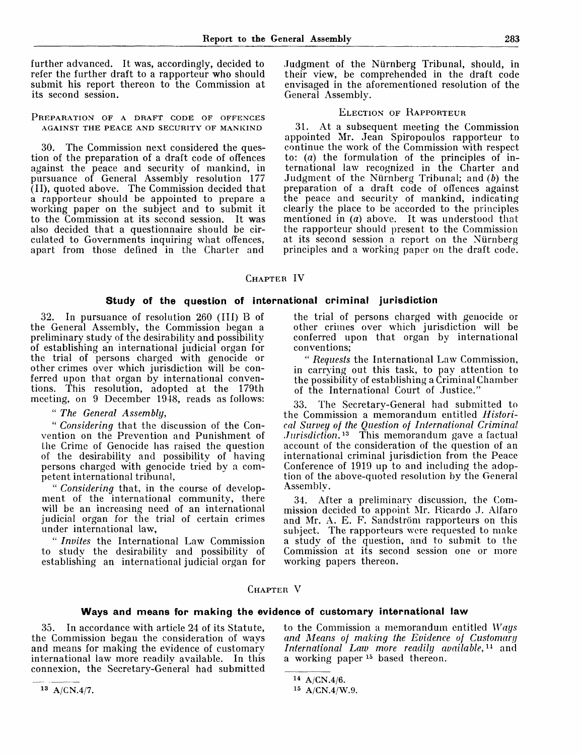further advanced. It was, accordingly, decided to refer the further draft to a rapporteur who should submit his report thereon to the Commission at its second session.

PREPARATION OF A DRAFT CODE OF OFFENCES AGAINST THE PEACE AND SECURITY OF MANKIND

30. The Commission next considered the question of the preparation of a draft code of offences against the peace and security of mankind, in pursuance of General Assembly resolution 177 (II), quoted above. The Commission decided that a rapporteur should be appointed to prepare a working paper on the subject and to submit it to the Commission at its second session. It was also decided that a questionnaire should be circulated to Governments inquiring what offences, apart from those defined in the Charter and

Judgment of the Niirnberg Tribunal, should, in their view, be comprehended in the draft code envisaged in the aforementioned resolution of the General Assembly.

### ELECTION OF RAPPORTEUR

31. At a subsequent meeting the Commission appointed Mr. Jean Spiropoulos rapporteur to continue the work of the Commission with respect to: *(a)* the formulation of the principles of international law recognized in the Charter and Judgment of the Niirnberg Tribunal; and *(b)* the preparation of a draft code of offences against the peace and security of mankind, indicating clearly the place to be accorded to the principles mentioned in (a) above. It was understood that the rapporteur should present to the Commission at its second session a report on the Niirnberg principles and a working paper on the draft code.

CHAPTER IV

## **Study of the question of international criminal jurisdiction**

32. In pursuance of resolution 260 (III) B of the General Assembly, the Commission began a preliminary study of the desirability and possibility of establishing an international judicial organ for the trial of persons charged with genocide or other crimes over which jurisdiction will be conferred upon that organ by international conventions. This resolution, adopted at the 179th meeting, on 9 December 1948, reads as follows:

" *The General Assembly,*

" *Considering* that the discussion of the Convention on the Prevention and Punishment of the Crime of Genocide has raised the question of the desirability and possibility of having persons charged with genocide tried by a competent international tribunal,

" *Considering* that, in the course of development of the international community, there will be an increasing need of an international judicial organ for the trial of certain crimes under international law,

" *Invites* the International Law Commission to study the desirability and possibility of establishing an international judicial organ for

the trial of persons charged with genocide or other crimes over which jurisdiction will be conferred upon that organ by international conventions;

" *Requests* the International Law Commission, in carrying out this task, to pay attention to the possibility of establishing a Criminal Chamber of the International Court of Justice."

33. The Secretary-General had submitted to the Commission a memorandum entitled *Historical Survey of the Question of International Criminal Jurisdiction.'<sup>12</sup>* This memorandum gave a factual account of the consideration of the question of an international criminal jurisdiction from the Peace Conference of 1919 up to and including the adoption of the above-quoted resolution by the General Assembly.

34. After a preliminary discussion, the Commission decided to appoint Mr. Ricardo J. Alfaro and Mr. A. E. F. Sandström rapporteurs on this subject. The rapporteurs were requested to make a study of the question, and to submit to the Commission at its second session one or more working papers thereon.

## CHAPTER V

#### **Ways and means for making the evidence of customary international law**

35. In accordance with article 24 of its Statute, the Commission began the consideration of ways and means for making the evidence of customary international law more readily available. In this connexion, the Secretary-General had submitted

to the Commission a memorandum entitled *Ways and Means of making the Evidence of Customary International Law more readily available,<sup>u</sup>* and a working paper<sup>15</sup> based thereon.

 $14 A/CN.4/6.$ 

<sup>15</sup> A/CN.4/W.9.

 $13 A/CN.4/7.$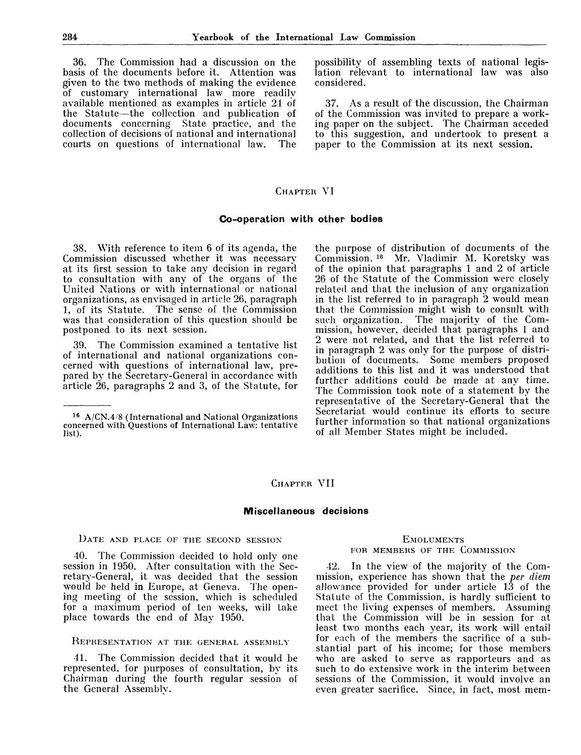36. The Commission had a discussion on the basis of the documents before it. Attention was given to the two methods of making the evidence of customary international law more readily available mentioned as examples in article 24 of the Statute—the collection and publication of documents concerning State practice, and the collection of decisions of national and international courts on questions of international law.

possibility of assembling texts of national legislation relevant to international law was also considered.

37. As a result of the discussion, the Chairman of the Commission was invited to prepare a working paper on the subject. The Chairman acceded to this suggestion, and undertook to present a paper to the Commission at its next session.

## CHAPTER VI

## **Co-operation with other bodies**

38. With reference to item 6 of its agenda, the Commission discussed whether it was necessary at its first session to take any decision in regard to consultation with any of the organs of the United Nations or with international or national organizations, as envisaged in article 26, paragraph 1, of its Statute. The sense of the Commission was that consideration of this question should be postponed to its next session.

39. The Commission examined a tentative list of international and national organizations concerned with questions of international law, prepared by the Secretary-General in accordance with article 26, paragraphs 2 and 3, of the Statute, for the purpose of distribution of documents of the Commission. 10 Mr. Vladimir M. Koretsky was of the opinion that paragraphs 1 and 2 of article 26 of the Statute of the Commission were closely related and that the inclusion of any organization in the list referred to in paragraph 2 would mean that the Commission might wish to consult with such organization. The majority of the Commission, however, decided that paragraphs 1 and mission, nowever, accrete that paragraphs 1 and 2 were not related, and that the list referred to If were not reacted, and that the new receives the purpose of distribution of documents. Some members proposed additions to this list and it was understood that further additions could be made at any time. The Commission took note of a statement by the representative of the Secretary-General that the Secretariat would continue its efforts to secure further information so that national organizations of all Member States might be included.

## CHAPTER VII

#### **Miscellaneous decisions**

#### DATE AND PLACE OF THE SECOND SESSION

40. The Commission decided to hold only one session in 1950. After consultation with the Secretary-General, it was decided that the session would be held in Europe, at Geneva. The opening meeting of the session, which is scheduled for a maximum period of ten weeks, will take place towards the end of May 1950.

## REPRESENTATION AT THE GENERAL ASSEMBLY

41. The Commission decided that it would be represented, for purposes of consultation, by its Chairman during the fourth regular session of the General Assemblv.

## **EMOLUMENTS** FOR MEMBERS OF THE COMMISSION

42. In the view of the majority of the Commission, experience has shown that the *per diem* allowance provided for under article 13 of the Statute of the Commission, is hardly sufficient to meet the living expenses of members. Assuming that the Commission will be in session for at least two months each year, its work will entail for each of the members the sacrifice of a substantial part of his income; for those members who are asked to serve as rapporteurs and as such to do extensive work in the interim between sessions of the Commission, it would involve an even greater sacrifice. Since, in fact, most mem-

<sup>16</sup> A/CN.4'8 (International and National Organizations concerned with Questions of International Law: tentative list).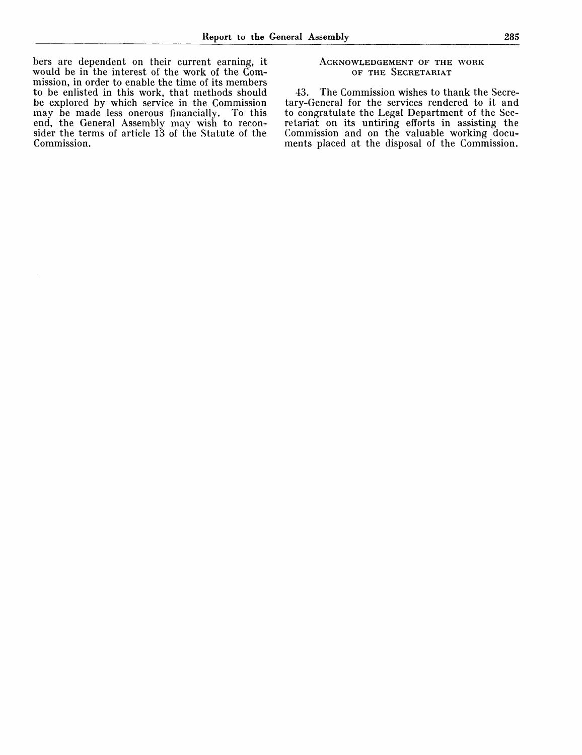bers are dependent on their current earning, it would be in the interest of the work of the Commission, in order to enable the time of its members to be enlisted in this work, that methods should be explored by which service in the Commission<br>may be made less onerous financially. To this may be made less onerous financially. end, the General Assembly may wish to reconsider the terms of article 13 of the Statute of the Commission.

## ACKNOWLEDGEMENT OF THE WORK OF THE SECRETARIAT

43. The Commission wishes to thank the Secretary-General for the services rendered to it and to congratulate the Legal Department of the Secretariat on its untiring efforts in assisting the Commission and on the valuable working documents placed at the disposal of the Commission.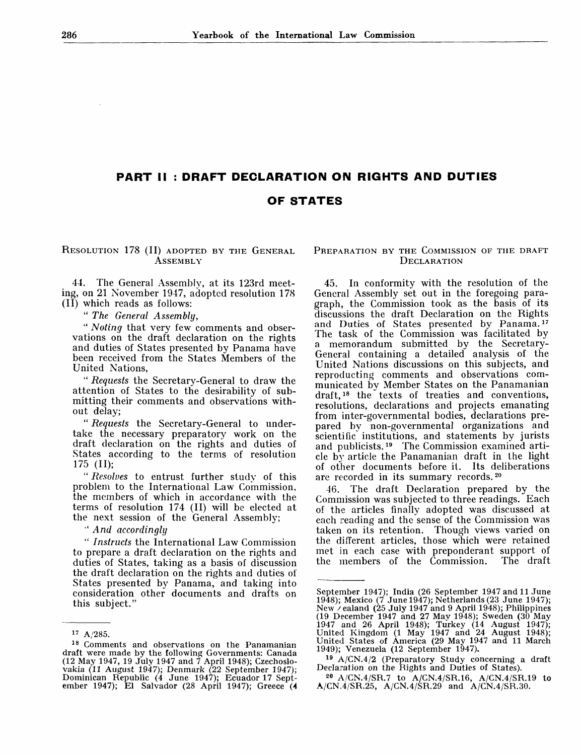# **PART II : DRAFT DECLARATION ON RIGHTS AND DUTIES OF STATES**

RESOLUTION 178 (II) ADOPTED BY THE GENERAL **ASSEMBLY** 

44. The General Assembly, at its 123rd meeting, on 21 November 1947, adopted resolution 178 (II) which reads as follows:

" *The General Assembly,*

" *Noting* that very few comments and observations on the draft declaration on the rights and duties of States presented by Panama have been received from the States Members of the United Nations,

" *Requests* the Secretary-General to draw the attention of States to the desirability of submitting their comments and observations without delay;

" *Requests* the Secretary-General to undertake the necessary preparatory work on the draft declaration on the rights and duties of States according to the terms of resolution 175 (II);

" *Resolves* to entrust further study of this problem to the International Law Commission, the members of which in accordance with the terms of resolution 174 (II) will be elected at the next session of the General Assembly;

' *And accordingly*

" *Instructs* the International Law Commission to prepare a draft declaration on the rights and duties of States, taking as a basis of discussion the draft declaration on the rights and duties of States presented by Panama, and taking into consideration other documents and drafts on this subject."

## PREPARATION BY THE COMMISSION OF THE DRAFT **DECLARATION**

45. In conformity with the resolution of the General Assembly set out in the foregoing paragraph, the Commission took as the basis of its discussions the draft Declaration on the Rights and Duties of States presented by Panama.<sup>17</sup> The task of the Commission was facilitated by a memorandum submitted by the Secretary-General containing a detailed analysis of the United Nations discussions on this subjects, and reproducing comments and observations communicated by Member States on the Panamanian draft,<sup>18</sup> the texts of treaties and conventions, resolutions, declarations and projects emanating from inter-governmental bodies, declarations prepared by non-governmental organizations and scientific institutions, and statements by jurists and publicists.<sup>19</sup> The Commission examined article by article the Panamanian draft in the light of other documents before it. Its deliberations are recorded in its summary records.<sup>20</sup>

46. The draft Declaration prepared by the Commission was subjected to three readings. Each of the articles finally adopted was discussed at each reading and the sense of the Commission was taken on its retention. Though views varied on the different articles, those which were retained met in each case with preponderant support of the members of the Commission. The draft

20 A/CN.4/SR.7 to A/CN.4/SR.16, A/CN.4/SR.19 to  $A/CN.4/SR.25$ ,  $A/CN.4/SR.29$  and  $A/CN.4/SR.30$ .

 $17 A/285.$ 

<sup>&</sup>lt;sup>18</sup> Comments and observations on the Panamanian draft were made by the following Governments: Canada (12 May 1947, 19 July 1947 and 7 April 1948); Czechoslovakia (11 August 1947); Denmark (22 September 1947); Dominican Republic (4 June 1947); Ecuador 17 September 1947); El Salvador (28 April 1947); Greece (4

September 1947): India (26 September 1947 and 11 June 1948); Mexico (7 June 1947); Netherlands (23 June 1947); New / ealand (25 July 1947 and 9 April 1948); Philippines (19 December 1947 and 27 May 1948); Sweden (30 May 1947 and 26 April 1948); Turkey (14 August 1947); United Kingdom (1 May 1947 and 24 August 1948); United States of America (29 May 1947 and 11 March 1949); Venezuela (12 September 1947).

<sup>19</sup> A/CN.4/2 (Preparatory Study concerning a draft Declaration on the Rights and Duties of States).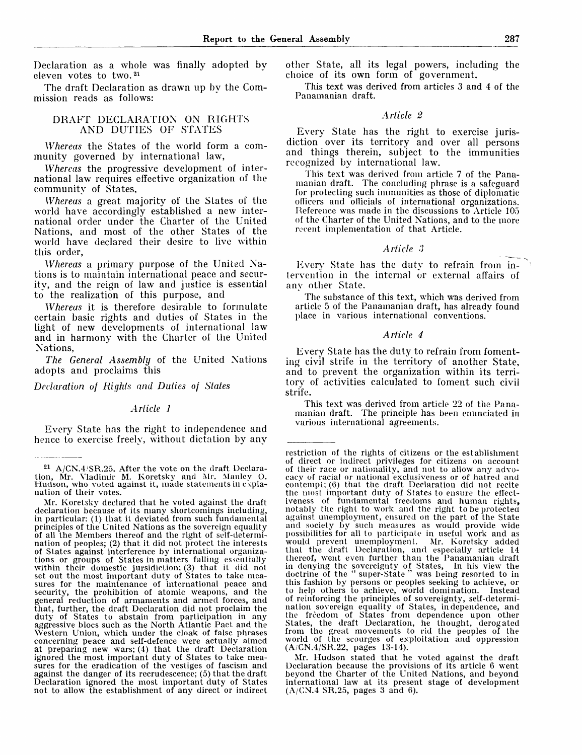Declaration as a whole was finally adopted by eleven votes to two.<sup>21</sup>

The draft Declaration as drawn up by the Commission reads as follows:

## DRAFT DECLARATION ON RIGHTS AND DUTIES OF STATES

*Whereas* the States of the world form a community governed by international law,

*Whereas* the progressive development of international law requires effective organization of the community of States,

*Whereas* a great majority of the Slates of the world have accordingly established a new international order under the Charter of the United Nations, and most of the other States of the world have declared their desire to live within this order,

*Whereas* a primary purpose of the United Nations is to maintain international peace and security, and the reign of law and justice is essential to the realization of this purpose, and

*Whereas* it is therefore desirable to formulate certain basic rights and duties of States in the light of new developments of international law and in harmony with the Charter of the United Nations,

*The General Assembly* of the United Nations adopts and proclaims this

*Declaration of Rights and Duties of States*

#### *Article 1*

Every State has the right to independence and hence to exercise freely, without dictation by any other State, all its legal powers, including the choice of its own form of government.

This text was derived from articles 3 and 4 of the Panamanian draft.

#### *Article 2*

Every State has the right to exercise jurisdiction over its territory and over all persons and things therein, subject to the immunities recognized by international law.

This text was derived from article 7 of the Panamanian draft. The concluding phrase is a safeguard for protecting such immunities as those of diplomatic officers and officials of international organizations. Reference was made in the discussions to Article 105 of the Charter of the United Nations, and to the more recent implementation of that Article.

## *Article 3*

Every State has the duty to refrain from intervention in the internal or external affairs of any other State.

The substance of this text, which was derived from article 5 of the Panamanian draft, has already found place in various international conventions.

#### *Article 4*

Every State has the duty to refrain from fomenting civil strife in the territory of another State, and to prevent the organization within its territory of activities calculated to foment such civil strife.

This text was derived from article 22 of the Panamanian draft. The principle has been enunciated in various international agreements.

Mr. Hudson stated that he voted against the draft Declaration because the provisions of its article 6 went beyond the Charter of the United Nations, and beyond international law at its present stage of development  $(A/CN.4$  SR.25, pages 3 and 6).

<sup>&</sup>lt;sup>21</sup> A/CN.4/SR.25. After the vote on the draft Declaration, Mr. Vladimir M. Koretsky and Mr. Mauley O. Hudson, who voted against it, made statements in explanation of their votes.

Mr. Korelsky declared that he voted against the draft declaration because of its many shortcomings including, in particular: (1) that it deviated from such fundamental principles of the United Nations as the sovereign equality of all the Members thereof and the right of self-determination of peoples; (2) that it did not protect the interests of States against interference by international organizations or groups of States in matters falling essentially within their domestic jursidiction; (3) that it did not set out the most important duty of States to take measures for the maintenance of international peace and security, the prohibition of atomic weapons, and the general reduction of armaments and armed forces, and that, further, the draft Declaration did not proclaim the duty of States to abstain from participation in any aggressive blocs such as the North Atlantic Pact and the Western Union, which under the cloak of false phrases concerning peace and self-defence were actually aimed at preparing new wars; (4) that the draft Declaration ignored the most important duty of States to take measures for the eradication of the vestiges of fascism and against the danger of its recrudescence; (5) that the draft Declaration ignored the most important duty of States not to allow the establishment of any direct or indirect

restriction of the rights of citizens or the establishment of direct or indirect privileges for citizens on account of their race or nationality, and not to allow any advocacy of racial or national exclusiveness or of haired and contempi.; (6) that the draft Declaration did not recite the most important duty of States to ensure the effectiveness of fundamental freedoms and human rights, notably the right to work and the right to be protected against unemployment, ensured on the part of the Slate and society by such measures as would provide wide possibilities for all to participate in useful work and as would prevent unemployment. Mr. Koretsky added that the draft Declaration, and especially article 14 thereof, went even further than the Panamanian draft in denying the sovereignty of States, In his view the doctrine of the " super-State " was being resorted to in this fashion by persons or peoples seeking to achieve, or to help others to achieve, world domination. Instead of reinforcing the principles of sovereignty, self-determination sovereign equality of States, independence, and the freedom of States from dependence upon other States, the draft Declaration, he thought, derogated from the great movements to rid the peoples of the world of the scourges of exploitation and oppression (A/CN.4/SR.22, pages 13-14).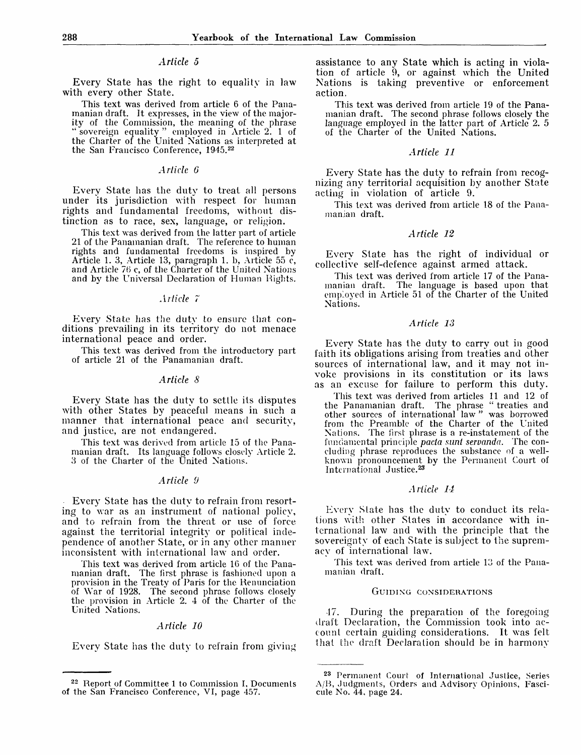## *Article 5*

Every State has the right to equality in law with every other State.

This text was derived from article 6 of the Panamanian draft. It expresses, in the view of the majority of the Commission, the meaning of the phrase " sovereign equality " employed in Article 2. 1 of the Charter of the United Nations as interpreted at the San Francisco Conference, 1945.<sup>22</sup>

## *Article 6*

Every State has the duty to treat all persons under its jurisdiction with respect for human rights and fundamental freedoms, without distinction as to race, sex, language, or religion.

This text was derived from the latter part of article 21 of the Panamanian draft. The reference to human rights and fundamental freedoms is inspired by Article 1. 3, Article 13, paragraph 1. b, Article 55 c, and Article 70 c, of the Charter of the United Nations and by the Universal Declaration of Human Rights.

#### *Arlicle 7*

Every State has the duty to ensure that conditions prevailing in its territory do not menace international peace and order.

This text was derived from the introductory part of article 21 of the Panamanian draft.

## *Article 8*

Every State has the duty to settle its disputes with other States by peaceful means in such a manner that international peace and security, and justice, are not endangered.

This text was derived from article 15 of the Panamanian draft. Its language follows closely Article 2. 3 of the Charter of the United Nations.

### *Article 9*

Every State has the duty to refrain from resorting to war as an instrument of national policy, and to refrain from the threat or use of force against the territorial integrity or political independence of another State, or in any other manner inconsistent with international law and order.

This text was derived from article 16 of the Panamanian draft. The first phrase is fashioned upon a provision in the Treaty of Paris for the Renunciation of War of 1928. The second phrase follows closely the provision in Article 2. 4 of the Charter of the United Nations.

## *Article 10*

Every State has the duty to refrain from giving

assistance to any State which is acting in violation of article 9, or against which the United Nations is taking preventive or enforcement action.

This text was derived from article 19 of the Panamanian draft. The second phrase follows closely the language employed in the latter part of Article 2. 5 of the Charter of the United Nations.

## *Article 11*

Every State has the duty to refrain from recognizing any territorial acquisition by another State acting in violation of article 9.

This text was derived from article 18 of the Panamanian draft.

#### *Article 12*

Every State has the right of individual or collective self-defence against armed attack.

This text was derived from article 17 of the Panamanian draft. The language is based upon that employed in Article 51 of the Charter of the United Nations.

## *Article 13*

Every State has the duty to carry out in good faith its obligations arising from treaties and other sources of international law, and it may not invoke provisions in its constitution or its laws as an excuse for failure to perform this duty.

This text was derived from articles 11 and 12 of the Panamanian draft. The phrase " treaties and other sources of international law " was borrowed from the Preamble of the Charter of the United Nations. The first phrase is a re-instatement of the fundamental principle *pacta sunt servanda.* The concluding phrase reproduces the substance of a wellknown pronouncement by the Permanent Court of International Justice.<sup>23</sup>

#### *Article U*

Every State has the duty to conduct its relations with other States in accordance with international law and with the principle that the sovereignty of each State is subject to the supremacy of international law.

This text was derived from article 13 of the Panamanian draft.

#### GUIDING CONSIDERATIONS

-17. During the preparation of the foregoing draft Declaration, the Commission took into account certain guiding considerations. It was felt that the draft Declaration should be in harmony

<sup>&</sup>lt;sup>22</sup> Report of Committee 1 to Commission I, Documents of the San Francisco Conference, VI, page 457.

<sup>23</sup> Permanent Court of International Juslice, Series A/B, Judgments, Orders and Advisory Opinions, Fascicule No. 44, page 24.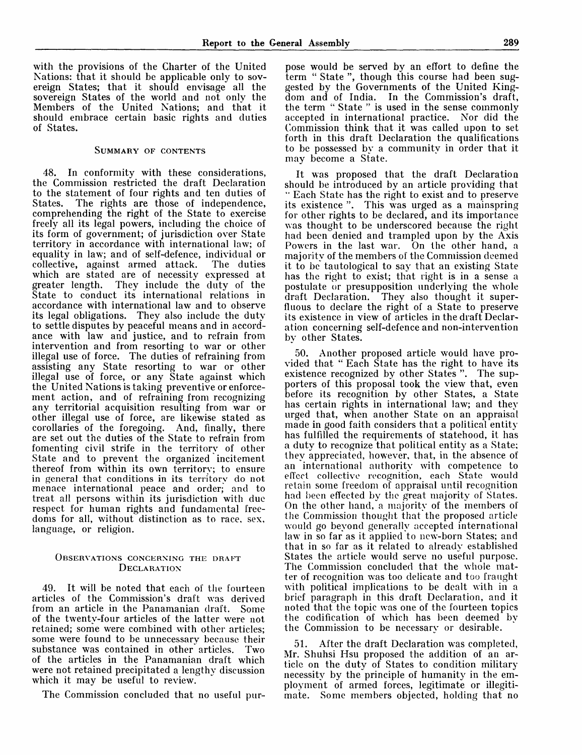with the provisions of the Charter of the United Nations: that it should be applicable only to sovereign States; that it should envisage all the sovereign States of the world and not only the Members of the United Nations; and that it should embrace certain basic rights and duties of States.

#### SUMMARY OF CONTENTS

48. In conformity with these considerations, the Commission restricted the draft Declaration to the statement of four rights and ten duties of States. The rights are those of independence, The rights are those of independence, comprehending the right of the State to exercise freely all its legal powers, including the choice of its form of government; of jurisdiction over State territory in accordance with international law; of equality in law; and of self-defence, individual or collective, against armed attack. which are stated are of necessity expressed at greater length. They include the duty of the State to conduct its international relations in accordance with international law and to observe its legal obligations. They also include the duty to settle disputes by peaceful means and in accordance with law and justice, and to refrain from intervention and from resorting to war or other illegal use of force. The duties of refraining from assisting any State resorting to war or other illegal use of force, or any State against which the United Nations is taking preventive or enforcement action, and of refraining from recognizing any territorial acquisition resulting from war or other illegal use of force, are likewise stated as corollaries of the foregoing. And, finally, there are set out the duties of the State to refrain from fomenting civil strife in the territory of other State and to prevent the organized incitement thereof from within its own territory; to ensure in general that conditions in its territory do not menace international peace and order; and to treat all persons within its jurisdiction with due respect for human rights and fundamental freedoms for all, without distinction as to race, sex, language, or religion.

### OBSERVATIONS CONCERNING THE DRAFT **DECLARATION**

49. It will be noted that each of the fourteen articles of the Commission's draft was derived from an article in the Panamanian draft. Some of the twenty-four articles of the latter were not retained; some were combined with other articles; some were found to be unnecessary because their substance was contained in other articles. Two of the articles in the Panamanian draft which were not retained precipitated a lengthy discussion which it may be useful to review.

The Commission concluded that no useful pur-

pose would be served by an effort to define the term " State ", though this course had been suggested by the Governments of the United Kingdom and of India. In the Commission's draft, the term " State " is used in the sense commonly accepted in international practice. Nor did the Commission think that it was called upon to set forth in this draft Declaration the qualifications to be possessed by a community in order that it may become a State.

It was proposed that the draft Declaration should be introduced by an article providing that " Each State has the right to exist and to preserve its existence ". This was urged as a mainspring for other rights to be declared, and its importance was thought to be underscored because the right had been denied and trampled upon by the Axis Powers in the last war. On the other hand, a majority of the members of the Commission deemed it to be tautological to say that an existing State has the right to exist; that right is in a sense a postulate or presupposition underlying the whole draft Declaration. They also thought it superfluous to declare the right of a State to preserve its existence in view of articles in the draft Declaration concerning self-defence and non-intervention by other States.

50. Another proposed article would have provided that " Each State has the right to have its existence recognized by other States". The supporters of this proposal took the view that, even before its recognition by other States, a State has certain rights in international law; and they urged that, when another State on an appraisal made in good faith considers that a political entity has fulfilled the requirements of statehood, it has a duty to recognize that political entity as a State; they appreciated, however, that, in the absence of an international authority with competence to effect collective recognition, each State would retain some freedom of appraisal until recognition had been effected by the great majority of States. On the other hand, a majority of the members of the Commission thought that the proposed article would go beyond generally accepted international law in so far as it applied to new-born States; and that in so far as it related to already established States the article would serve no useful purpose. The Commission concluded that the whole matter of recognition was too delicate and too fraught with political implications to be dealt with in a brief paragraph in this draft Declaration, and it noted that the topic was one of the fourteen topics the codification of which has been deemed by the Commission to be necessary or desirable.

After the draft Declaration was completed, Mr. Shuhsi Hsu proposed the addition of an article on the duty of States to condition military necessity by the principle of humanity in the employment of armed forces, legitimate or illegitimate. Some members objected, holding that no